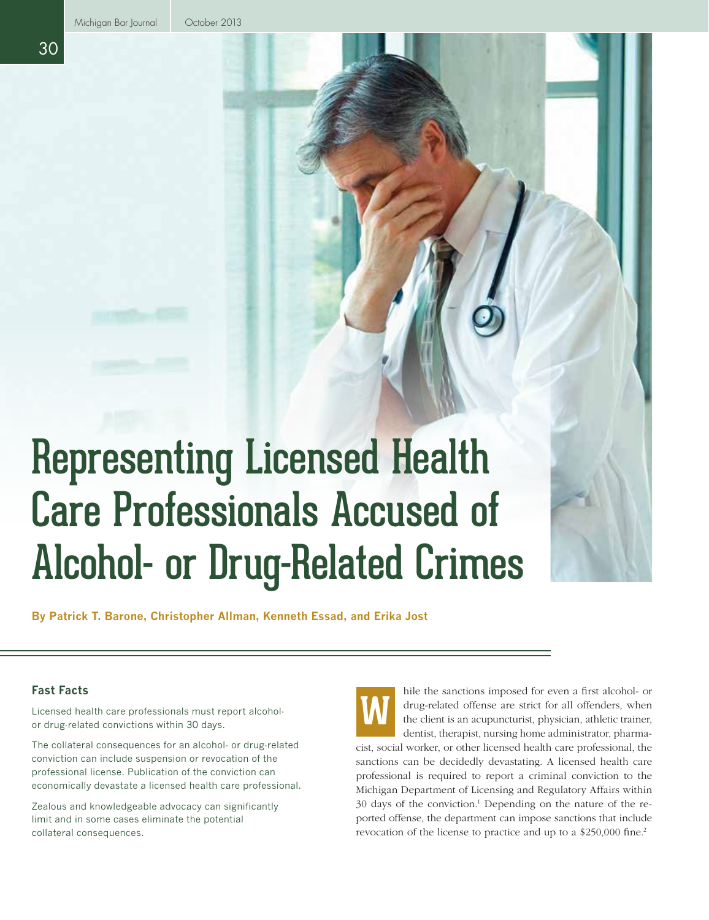# Representing Licensed Health Care Professionals Accused of Alcohol- or Drug-Related Crimes

**By Patrick T. Barone, Christopher Allman, Kenneth Essad, and Erika Jost**

### **Fast Facts**

Licensed health care professionals must report alcoholor drug-related convictions within 30 days.

The collateral consequences for an alcohol- or drug-related conviction can include suspension or revocation of the professional license. Publication of the conviction can economically devastate a licensed health care professional.

Zealous and knowledgeable advocacy can significantly limit and in some cases eliminate the potential collateral consequences.



hile the sanctions imposed for even a first alcohol- or drug-related offense are strict for all offenders, when the client is an acupuncturist, physician, athletic trainer, dentist, therapist, nursing home administrator, pharma-

cist, social worker, or other licensed health care professional, the sanctions can be decidedly devastating. A licensed health care professional is required to report a criminal conviction to the Michigan Department of Licensing and Regulatory Affairs within 30 days of the conviction.<sup>1</sup> Depending on the nature of the reported offense, the department can impose sanctions that include revocation of the license to practice and up to a \$250,000 fine.<sup>2</sup>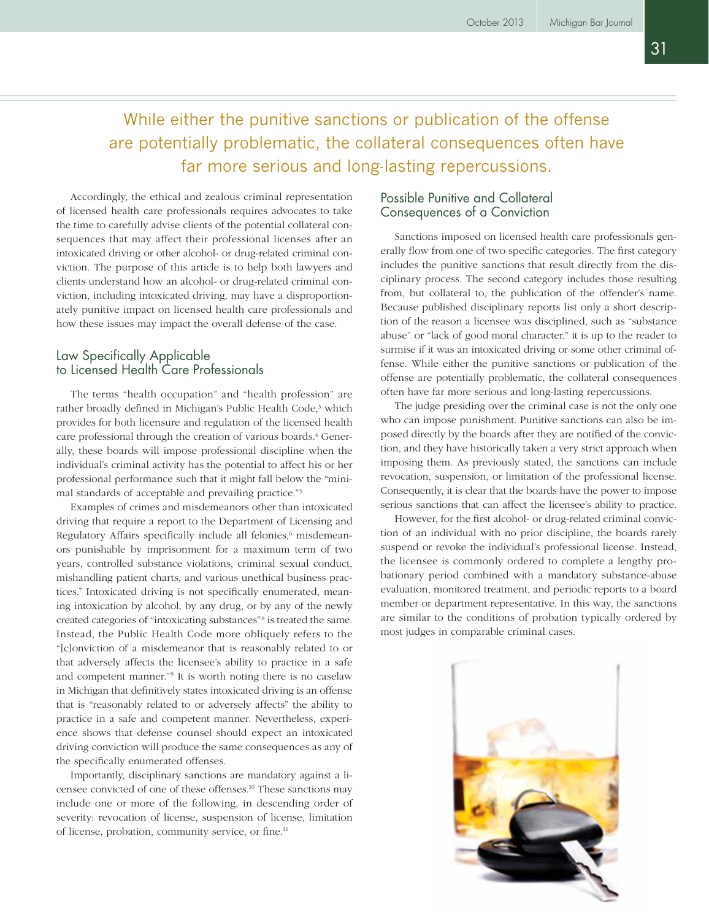31

## While either the punitive sanctions or publication of the offense are potentially problematic, the collateral consequences often have far more serious and long-lasting repercussions.

Accordingly, the ethical and zealous criminal representation of licensed health care professionals requires advocates to take the time to carefully advise clients of the potential collateral consequences that may affect their professional licenses after an intoxicated driving or other alcohol- or drug-related criminal conviction. The purpose of this article is to help both lawyers and clients understand how an alcohol- or drug-related criminal conviction, including intoxicated driving, may have a disproportionately punitive impact on licensed health care professionals and how these issues may impact the overall defense of the case.

#### Law Specifically Applicable to Licensed Health Care Professionals

The terms "health occupation" and "health profession" are rather broadly defined in Michigan's Public Health Code,<sup>3</sup> which provides for both licensure and regulation of the licensed health care professional through the creation of various boards.<sup>4</sup> Generally, these boards will impose professional discipline when the individual's criminal activity has the potential to affect his or her professional performance such that it might fall below the "minimal standards of acceptable and prevailing practice."5

Examples of crimes and misdemeanors other than intoxicated driving that require a report to the Department of Licensing and Regulatory Affairs specifically include all felonies,<sup>6</sup> misdemeanors punishable by imprisonment for a maximum term of two years, controlled substance violations, criminal sexual conduct, mishandling patient charts, and various unethical business practices.7 Intoxicated driving is not specifically enumerated, meaning intoxication by alcohol, by any drug, or by any of the newly created categories of "intoxicating substances"8 is treated the same. Instead, the Public Health Code more obliquely refers to the "[c]onviction of a misdemeanor that is reasonably related to or that adversely affects the licensee's ability to practice in a safe and competent manner."9 It is worth noting there is no caselaw in Michigan that definitively states intoxicated driving is an offense that is "reasonably related to or adversely affects" the ability to practice in a safe and competent manner. Nevertheless, experience shows that defense counsel should expect an intoxicated driving conviction will produce the same consequences as any of the specifically enumerated offenses.

Importantly, disciplinary sanctions are mandatory against a licensee convicted of one of these offenses.10 These sanctions may include one or more of the following, in descending order of severity: revocation of license, suspension of license, limitation of license, probation, community service, or fine.<sup>11</sup>

#### Possible Punitive and Collateral Consequences of a Conviction

Sanctions imposed on licensed health care professionals generally flow from one of two specific categories. The first category includes the punitive sanctions that result directly from the disciplinary process. The second category includes those resulting from, but collateral to, the publication of the offender's name. Because published disciplinary reports list only a short description of the reason a licensee was disciplined, such as "substance abuse" or "lack of good moral character," it is up to the reader to surmise if it was an intoxicated driving or some other criminal offense. While either the punitive sanctions or publication of the offense are potentially problematic, the collateral consequences often have far more serious and long-lasting repercussions.

The judge presiding over the criminal case is not the only one who can impose punishment. Punitive sanctions can also be imposed directly by the boards after they are notified of the conviction, and they have historically taken a very strict approach when imposing them. As previously stated, the sanctions can include revocation, suspension, or limitation of the professional license. Consequently, it is clear that the boards have the power to impose serious sanctions that can affect the licensee's ability to practice.

However, for the first alcohol- or drug-related criminal conviction of an individual with no prior discipline, the boards rarely suspend or revoke the individual's professional license. Instead, the licensee is commonly ordered to complete a lengthy probationary period combined with a mandatory substance-abuse evaluation, monitored treatment, and periodic reports to a board member or department representative. In this way, the sanctions are similar to the conditions of probation typically ordered by most judges in comparable criminal cases.

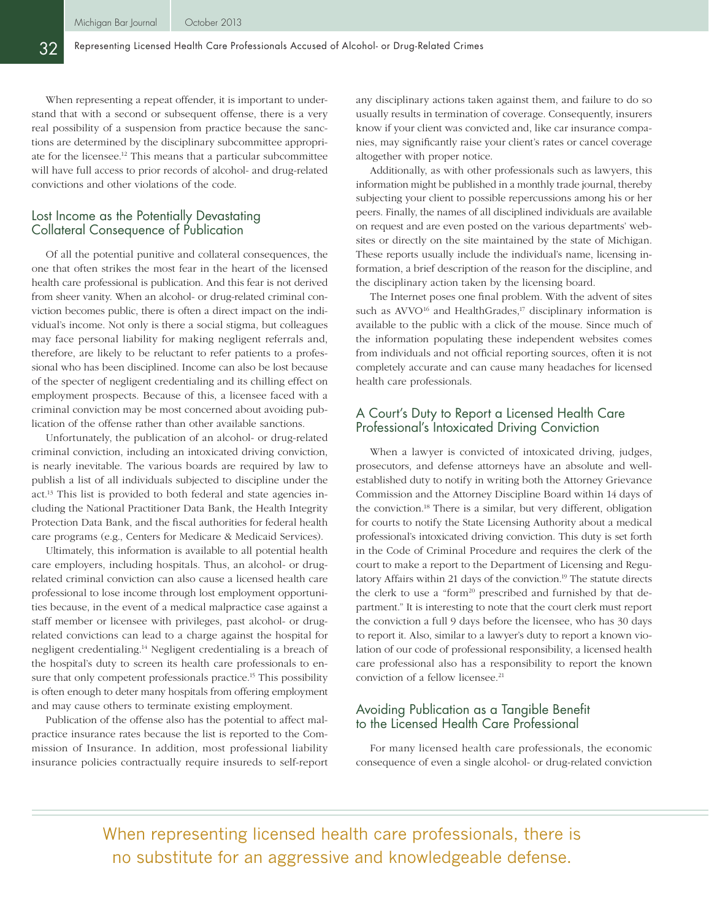When representing a repeat offender, it is important to understand that with a second or subsequent offense, there is a very real possibility of a suspension from practice because the sanctions are determined by the disciplinary subcommittee appropriate for the licensee.12 This means that a particular subcommittee will have full access to prior records of alcohol- and drug-related convictions and other violations of the code.

#### Lost Income as the Potentially Devastating Collateral Consequence of Publication

Of all the potential punitive and collateral consequences, the one that often strikes the most fear in the heart of the licensed health care professional is publication. And this fear is not derived from sheer vanity. When an alcohol- or drug-related criminal conviction becomes public, there is often a direct impact on the individual's income. Not only is there a social stigma, but colleagues may face personal liability for making negligent referrals and, therefore, are likely to be reluctant to refer patients to a professional who has been disciplined. Income can also be lost because of the specter of negligent credentialing and its chilling effect on employment prospects. Because of this, a licensee faced with a criminal conviction may be most concerned about avoiding publication of the offense rather than other available sanctions.

Unfortunately, the publication of an alcohol- or drug-related criminal conviction, including an intoxicated driving conviction, is nearly inevitable. The various boards are required by law to publish a list of all individuals subjected to discipline under the act.13 This list is provided to both federal and state agencies including the National Practitioner Data Bank, the Health Integrity Protection Data Bank, and the fiscal authorities for federal health care programs (e.g., Centers for Medicare & Medicaid Services).

Ultimately, this information is available to all potential health care employers, including hospitals. Thus, an alcohol- or drugrelated criminal conviction can also cause a licensed health care professional to lose income through lost employment opportunities because, in the event of a medical malpractice case against a staff member or licensee with privileges, past alcohol- or drugrelated convictions can lead to a charge against the hospital for negligent credentialing.14 Negligent credentialing is a breach of the hospital's duty to screen its health care professionals to ensure that only competent professionals practice.<sup>15</sup> This possibility is often enough to deter many hospitals from offering employment and may cause others to terminate existing employment.

Publication of the offense also has the potential to affect malpractice insurance rates because the list is reported to the Commission of Insurance. In addition, most professional liability insurance policies contractually require insureds to self-report any disciplinary actions taken against them, and failure to do so usually results in termination of coverage. Consequently, insurers know if your client was convicted and, like car insurance companies, may significantly raise your client's rates or cancel coverage altogether with proper notice.

Additionally, as with other professionals such as lawyers, this information might be published in a monthly trade journal, thereby subjecting your client to possible repercussions among his or her peers. Finally, the names of all disciplined individuals are available on request and are even posted on the various departments' websites or directly on the site maintained by the state of Michigan. These reports usually include the individual's name, licensing information, a brief description of the reason for the discipline, and the disciplinary action taken by the licensing board.

The Internet poses one final problem. With the advent of sites such as  $AVVO<sup>16</sup>$  and HealthGrades,<sup>17</sup> disciplinary information is available to the public with a click of the mouse. Since much of the information populating these independent websites comes from individuals and not official reporting sources, often it is not completely accurate and can cause many headaches for licensed health care professionals.

#### A Court's Duty to Report a Licensed Health Care Professional's Intoxicated Driving Conviction

When a lawyer is convicted of intoxicated driving, judges, prosecutors, and defense attorneys have an absolute and wellestablished duty to notify in writing both the Attorney Grievance Commission and the Attorney Discipline Board within 14 days of the conviction.18 There is a similar, but very different, obligation for courts to notify the State Licensing Authority about a medical professional's intoxicated driving conviction. This duty is set forth in the Code of Criminal Procedure and requires the clerk of the court to make a report to the Department of Licensing and Regulatory Affairs within 21 days of the conviction.<sup>19</sup> The statute directs the clerk to use a "form<sup>20</sup> prescribed and furnished by that department." It is interesting to note that the court clerk must report the conviction a full 9 days before the licensee, who has 30 days to report it. Also, similar to a lawyer's duty to report a known violation of our code of professional responsibility, a licensed health care professional also has a responsibility to report the known conviction of a fellow licensee.<sup>21</sup>

#### Avoiding Publication as a Tangible Benefit to the Licensed Health Care Professional

For many licensed health care professionals, the economic consequence of even a single alcohol- or drug-related conviction

When representing licensed health care professionals, there is no substitute for an aggressive and knowledgeable defense.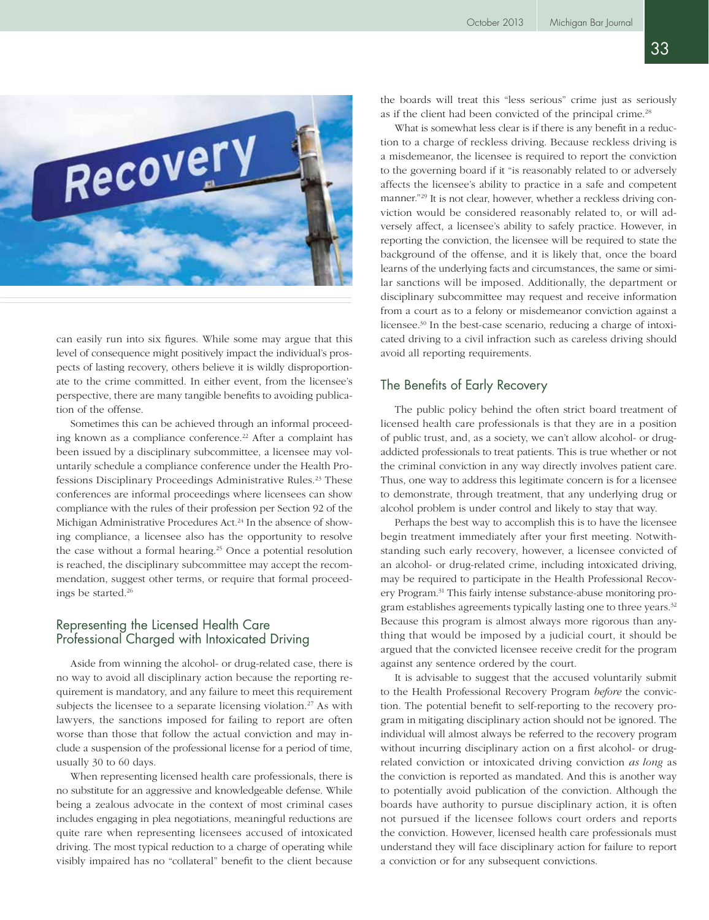

can easily run into six figures. While some may argue that this level of consequence might positively impact the individual's prospects of lasting recovery, others believe it is wildly disproportionate to the crime committed. In either event, from the licensee's perspective, there are many tangible benefits to avoiding publication of the offense.

Sometimes this can be achieved through an informal proceeding known as a compliance conference.<sup>22</sup> After a complaint has been issued by a disciplinary subcommittee, a licensee may voluntarily schedule a compliance conference under the Health Professions Disciplinary Proceedings Administrative Rules.<sup>23</sup> These conferences are informal proceedings where licensees can show compliance with the rules of their profession per Section 92 of the Michigan Administrative Procedures Act.<sup>24</sup> In the absence of showing compliance, a licensee also has the opportunity to resolve the case without a formal hearing.<sup>25</sup> Once a potential resolution is reached, the disciplinary subcommittee may accept the recommendation, suggest other terms, or require that formal proceedings be started.26

#### Representing the Licensed Health Care Professional Charged with Intoxicated Driving

Aside from winning the alcohol- or drug-related case, there is no way to avoid all disciplinary action because the reporting requirement is mandatory, and any failure to meet this requirement subjects the licensee to a separate licensing violation.<sup>27</sup> As with lawyers, the sanctions imposed for failing to report are often worse than those that follow the actual conviction and may include a suspension of the professional license for a period of time, usually 30 to 60 days.

When representing licensed health care professionals, there is no substitute for an aggressive and knowledgeable defense. While being a zealous advocate in the context of most criminal cases includes engaging in plea negotiations, meaningful reductions are quite rare when representing licensees accused of intoxicated driving. The most typical reduction to a charge of operating while visibly impaired has no "collateral" benefit to the client because the boards will treat this "less serious" crime just as seriously as if the client had been convicted of the principal crime.<sup>28</sup>

What is somewhat less clear is if there is any benefit in a reduction to a charge of reckless driving. Because reckless driving is a misdemeanor, the licensee is required to report the conviction to the governing board if it "is reasonably related to or adversely affects the licensee's ability to practice in a safe and competent manner."<sup>29</sup> It is not clear, however, whether a reckless driving conviction would be considered reasonably related to, or will adversely affect, a licensee's ability to safely practice. However, in reporting the conviction, the licensee will be required to state the background of the offense, and it is likely that, once the board learns of the underlying facts and circumstances, the same or similar sanctions will be imposed. Additionally, the department or disciplinary subcommittee may request and receive information from a court as to a felony or misdemeanor conviction against a licensee.30 In the best-case scenario, reducing a charge of intoxicated driving to a civil infraction such as careless driving should avoid all reporting requirements.

#### The Benefits of Early Recovery

The public policy behind the often strict board treatment of licensed health care professionals is that they are in a position of public trust, and, as a society, we can't allow alcohol- or drugaddicted professionals to treat patients. This is true whether or not the criminal conviction in any way directly involves patient care. Thus, one way to address this legitimate concern is for a licensee to demonstrate, through treatment, that any underlying drug or alcohol problem is under control and likely to stay that way.

Perhaps the best way to accomplish this is to have the licensee begin treatment immediately after your first meeting. Notwithstanding such early recovery, however, a licensee convicted of an alcohol- or drug-related crime, including intoxicated driving, may be required to participate in the Health Professional Recovery Program.31 This fairly intense substance-abuse monitoring program establishes agreements typically lasting one to three years.32 Because this program is almost always more rigorous than anything that would be imposed by a judicial court, it should be argued that the convicted licensee receive credit for the program against any sentence ordered by the court.

It is advisable to suggest that the accused voluntarily submit to the Health Professional Recovery Program *before* the conviction. The potential benefit to self-reporting to the recovery program in mitigating disciplinary action should not be ignored. The individual will almost always be referred to the recovery program without incurring disciplinary action on a first alcohol- or drugrelated conviction or intoxicated driving conviction *as long* as the conviction is reported as mandated. And this is another way to potentially avoid publication of the conviction. Although the boards have authority to pursue disciplinary action, it is often not pursued if the licensee follows court orders and reports the conviction. However, licensed health care professionals must understand they will face disciplinary action for failure to report a conviction or for any subsequent convictions.